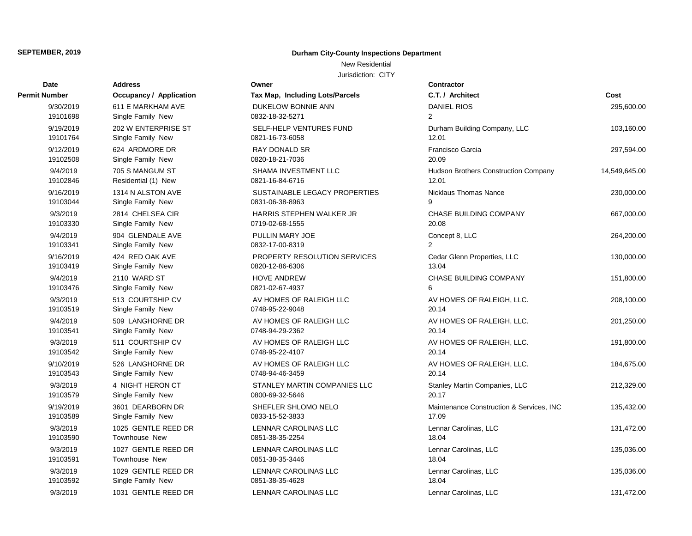### New Residential

| <b>Date</b>   | <b>Address</b>                 | Owner                           | Contractor       |
|---------------|--------------------------------|---------------------------------|------------------|
| Permit Number | <b>Occupancy / Application</b> | Tax Map, Including Lots/Parcels | C.T. / Arch      |
| 9/30/2019     | 611 E MARKHAM AVE              | DUKELOW BONNIE ANN              | <b>DANIEL RI</b> |
| 19101698      | Single Family New              | 0832-18-32-5271                 | $\overline{2}$   |
| 9/19/2019     | 202 W ENTERPRISE ST            | SELF-HELP VENTURES FUND         | Durham Bu        |
| 19101764      | Single Family New              | 0821-16-73-6058                 | 12.01            |
| 9/12/2019     | 624 ARDMORE DR                 | RAY DONALD SR                   | Francisco C      |
| 19102508      | Single Family New              | 0820-18-21-7036                 | 20.09            |
| 9/4/2019      | 705 S MANGUM ST                | SHAMA INVESTMENT LLC            | Hudson Bro       |
| 19102846      | Residential (1) New            | 0821-16-84-6716                 | 12.01            |
| 9/16/2019     | 1314 N ALSTON AVE              | SUSTAINABLE LEGACY PROPERTIES   | Nicklaus Th      |
| 19103044      | Single Family New              | 0831-06-38-8963                 | 9                |
| 9/3/2019      | 2814 CHELSEA CIR               | HARRIS STEPHEN WALKER JR        | <b>CHASE BU</b>  |
| 19103330      | Single Family New              | 0719-02-68-1555                 | 20.08            |
| 9/4/2019      | 904 GLENDALE AVE               | PULLIN MARY JOE                 | Concept 8,       |
| 19103341      | Single Family New              | 0832-17-00-8319                 | $\overline{2}$   |
| 9/16/2019     | 424 RED OAK AVE                | PROPERTY RESOLUTION SERVICES    | Cedar Glen       |
| 19103419      | Single Family New              | 0820-12-86-6306                 | 13.04            |
| 9/4/2019      | 2110 WARD ST                   | <b>HOVE ANDREW</b>              | <b>CHASE BU</b>  |
| 19103476      | Single Family New              | 0821-02-67-4937                 | 6                |
| 9/3/2019      | 513 COURTSHIP CV               | AV HOMES OF RALEIGH LLC         | <b>AV HOMES</b>  |
| 19103519      | Single Family New              | 0748-95-22-9048                 | 20.14            |
| 9/4/2019      | 509 LANGHORNE DR               | AV HOMES OF RALEIGH LLC         | AV HOMES         |
| 19103541      | Single Family New              | 0748-94-29-2362                 | 20.14            |
| 9/3/2019      | 511 COURTSHIP CV               | AV HOMES OF RALEIGH LLC         | AV HOMES         |
| 19103542      | Single Family New              | 0748-95-22-4107                 | 20.14            |
| 9/10/2019     | 526 LANGHORNE DR               | AV HOMES OF RALEIGH LLC         | AV HOMES         |
| 19103543      | Single Family New              | 0748-94-46-3459                 | 20.14            |
| 9/3/2019      | 4 NIGHT HERON CT               | STANLEY MARTIN COMPANIES LLC    | Stanley Ma       |
| 19103579      | Single Family New              | 0800-69-32-5646                 | 20.17            |
| 9/19/2019     | 3601 DEARBORN DR               | SHEFLER SHLOMO NELO             | Maintenand       |
| 19103589      | Single Family New              | 0833-15-52-3833                 | 17.09            |
| 9/3/2019      | 1025 GENTLE REED DR            | LENNAR CAROLINAS LLC            | Lennar Car       |
| 19103590      | <b>Townhouse New</b>           | 0851-38-35-2254                 | 18.04            |
| 9/3/2019      | 1027 GENTLE REED DR            | <b>LENNAR CAROLINAS LLC</b>     | Lennar Car       |
| 19103591      | Townhouse New                  | 0851-38-35-3446                 | 18.04            |
| 9/3/2019      | 1029 GENTLE REED DR            | LENNAR CAROLINAS LLC            | Lennar Car       |
| 19103592      | Single Family New              | 0851-38-35-4628                 | 18.04            |
| 9/3/2019      | 1031 GENTLE REED DR            | <b>LENNAR CAROLINAS LLC</b>     | Lennar Car       |

| Owner                                            | C      |
|--------------------------------------------------|--------|
| <b>Tax Map, Including Lots/Parcels</b>           | C      |
| DUKELOW BONNIE ANN                               | D      |
| 0832-18-32-5271                                  | 2      |
| SELF-HELP VENTURES FUND                          | D      |
| 0821-16-73-6058                                  | 1      |
| RAY DONALD SR                                    | F      |
| 0820-18-21-7036                                  | 2      |
| SHAMA INVESTMENT LLC<br>0821-16-84-6716          | Н<br>1 |
| SUSTAINABLE LEGACY PROPERTIES<br>0831-06-38-8963 | N<br>9 |
| <b>HARRIS STEPHEN WALKER JR</b>                  | C      |
| 0719-02-68-1555                                  | 2      |
| <b>PULLIN MARY JOE</b>                           | C      |
| 0832-17-00-8319                                  | 2      |
| PROPERTY RESOLUTION SERVICES<br>0820-12-86-6306  | C<br>1 |
| <b>HOVE ANDREW</b>                               | C      |
| 0821-02-67-4937                                  | 6      |
| AV HOMES OF RALEIGH LLC                          | Α      |
| 0748-95-22-9048                                  | 2      |
| AV HOMES OF RALEIGH LLC                          | Α      |
| 0748-94-29-2362                                  | 2      |
| AV HOMES OF RALEIGH LLC<br>0748-95-22-4107       | Α<br>2 |
| AV HOMES OF RALEIGH LLC                          | Α      |
| 0748-94-46-3459                                  | 2      |
| STANLEY MARTIN COMPANIES LLC                     | S      |
| 0800-69-32-5646                                  | 2      |
| SHEFLER SHLOMO NELO                              | N      |
| 0833-15-52-3833                                  | 1      |
| <b>LENNAR CAROLINAS LLC</b>                      | L      |
| 0851-38-35-2254                                  | 1      |
| LENNAR CAROLINAS LLC                             | L<br>1 |
| 0851-38-35-3446                                  |        |
| LENNAR CAROLINAS LLC<br>0851-38-35-4628          | L<br>1 |
| LENNAR CAROLINAS LLC                             | L      |
|                                                  |        |

| ımber     | <b>Occupancy / Application</b> | <b>Tax Map, Including Lots/Parcels</b> | C.T. / Architect                            | Cost          |
|-----------|--------------------------------|----------------------------------------|---------------------------------------------|---------------|
| 9/30/2019 | 611 E MARKHAM AVE              | DUKELOW BONNIE ANN                     | <b>DANIEL RIOS</b>                          | 295,600.00    |
| 19101698  | Single Family New              | 0832-18-32-5271                        | $\overline{2}$                              |               |
| 9/19/2019 | 202 W ENTERPRISE ST            | SELF-HELP VENTURES FUND                | Durham Building Company, LLC                | 103,160.00    |
| 19101764  | Single Family New              | 0821-16-73-6058                        | 12.01                                       |               |
| 9/12/2019 | 624 ARDMORE DR                 | RAY DONALD SR                          | Francisco Garcia                            | 297,594.00    |
| 19102508  | Single Family New              | 0820-18-21-7036                        | 20.09                                       |               |
| 9/4/2019  | 705 S MANGUM ST                | SHAMA INVESTMENT LLC                   | <b>Hudson Brothers Construction Company</b> | 14,549,645.00 |
| 19102846  | Residential (1) New            | 0821-16-84-6716                        | 12.01                                       |               |
| 9/16/2019 | 1314 N ALSTON AVE              | SUSTAINABLE LEGACY PROPERTIES          | Nicklaus Thomas Nance                       | 230,000.00    |
| 19103044  | Single Family New              | 0831-06-38-8963                        | $\mathsf{Q}$                                |               |
| 9/3/2019  | 2814 CHELSEA CIR               | HARRIS STEPHEN WALKER JR               | CHASE BUILDING COMPANY                      | 667,000.00    |
| 19103330  | Single Family New              | 0719-02-68-1555                        | 20.08                                       |               |
| 9/4/2019  | 904 GLENDALE AVE               | PULLIN MARY JOE                        | Concept 8, LLC                              | 264,200.00    |
| 19103341  | Single Family New              | 0832-17-00-8319                        | 2                                           |               |
| 9/16/2019 | 424 RED OAK AVE                | PROPERTY RESOLUTION SERVICES           | Cedar Glenn Properties, LLC                 | 130,000.00    |
| 19103419  | Single Family New              | 0820-12-86-6306                        | 13.04                                       |               |
| 9/4/2019  | 2110 WARD ST                   | <b>HOVE ANDREW</b>                     | CHASE BUILDING COMPANY                      | 151,800.00    |
| 19103476  | Single Family New              | 0821-02-67-4937                        | 6                                           |               |
| 9/3/2019  | 513 COURTSHIP CV               | AV HOMES OF RALEIGH LLC                | AV HOMES OF RALEIGH, LLC.                   | 208,100.00    |
| 19103519  | Single Family New              | 0748-95-22-9048                        | 20.14                                       |               |
| 9/4/2019  | 509 LANGHORNE DR               | AV HOMES OF RALEIGH LLC                | AV HOMES OF RALEIGH, LLC.                   | 201,250.00    |
| 19103541  | Single Family New              | 0748-94-29-2362                        | 20.14                                       |               |
| 9/3/2019  | 511 COURTSHIP CV               | AV HOMES OF RALEIGH LLC                | AV HOMES OF RALEIGH, LLC.                   | 191,800.00    |
| 19103542  | Single Family New              | 0748-95-22-4107                        | 20.14                                       |               |
| 9/10/2019 | 526 LANGHORNE DR               | AV HOMES OF RALEIGH LLC                | AV HOMES OF RALEIGH, LLC.                   | 184,675.00    |
| 19103543  | Single Family New              | 0748-94-46-3459                        | 20.14                                       |               |
| 9/3/2019  | 4 NIGHT HERON CT               | STANLEY MARTIN COMPANIES LLC           | Stanley Martin Companies, LLC               | 212,329.00    |
| 19103579  | Single Family New              | 0800-69-32-5646                        | 20.17                                       |               |
| 9/19/2019 | 3601 DEARBORN DR               | SHEFLER SHLOMO NELO                    | Maintenance Construction & Services, INC    | 135,432.00    |
| 19103589  | Single Family New              | 0833-15-52-3833                        | 17.09                                       |               |
| 9/3/2019  | 1025 GENTLE REED DR            | LENNAR CAROLINAS LLC                   | Lennar Carolinas, LLC                       | 131,472.00    |
| 19103590  | Townhouse New                  | 0851-38-35-2254                        | 18.04                                       |               |
| 9/3/2019  | 1027 GENTLE REED DR            | LENNAR CAROLINAS LLC                   | Lennar Carolinas, LLC                       | 135,036.00    |
| 19103591  | Townhouse New                  | 0851-38-35-3446                        | 18.04                                       |               |
| 9/3/2019  | 1029 GENTLE REED DR            | LENNAR CAROLINAS LLC                   | Lennar Carolinas, LLC                       | 135,036.00    |
| 19103592  | Single Family New              | 0851-38-35-4628                        | 18.04                                       |               |
| 9/3/2019  | 1031 GENTLE REED DR            | LENNAR CAROLINAS LLC                   | Lennar Carolinas, LLC                       | 131,472.00    |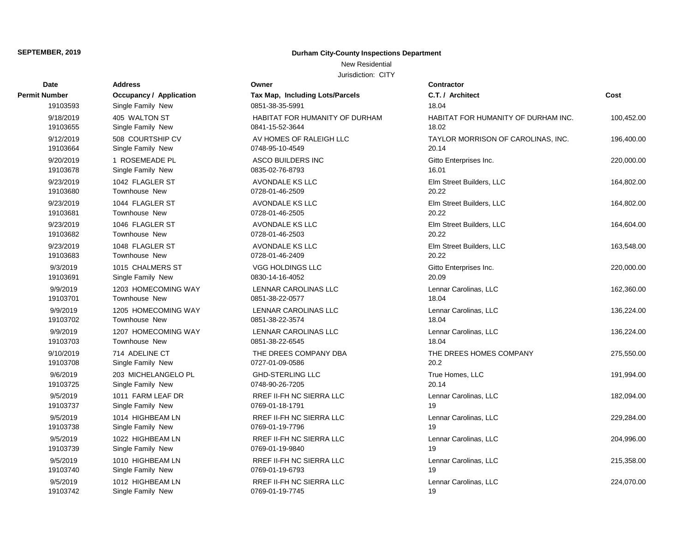**Permit Number** 

## **SEPTEMBER, 2019 Durham City-County Inspections Department**

### New Residential

Jurisdiction: CITY

| Date      | Address                 | Owner                           | <b>Contractor</b>                   |            |
|-----------|-------------------------|---------------------------------|-------------------------------------|------------|
| Number    | Occupancy / Application | Tax Map, Including Lots/Parcels | C.T. / Architect                    | Cost       |
| 19103593  | Single Family New       | 0851-38-35-5991                 | 18.04                               |            |
| 9/18/2019 | 405 WALTON ST           | HABITAT FOR HUMANITY OF DURHAM  | HABITAT FOR HUMANITY OF DURHAM INC. | 100,452.00 |
| 19103655  | Single Family New       | 0841-15-52-3644                 | 18.02                               |            |
| 9/12/2019 | 508 COURTSHIP CV        | AV HOMES OF RALEIGH LLC         | TAYLOR MORRISON OF CAROLINAS, INC.  | 196,400.00 |
| 19103664  | Single Family New       | 0748-95-10-4549                 | 20.14                               |            |
| 9/20/2019 | 1 ROSEMEADE PL          | ASCO BUILDERS INC               | Gitto Enterprises Inc.              | 220,000.00 |
| 19103678  | Single Family New       | 0835-02-76-8793                 | 16.01                               |            |
| 9/23/2019 | 1042 FLAGLER ST         | <b>AVONDALE KS LLC</b>          | Elm Street Builders, LLC            | 164,802.00 |
| 19103680  | <b>Townhouse New</b>    | 0728-01-46-2509                 | 20.22                               |            |
| 9/23/2019 | 1044 FLAGLER ST         | <b>AVONDALE KS LLC</b>          | Elm Street Builders, LLC            | 164,802.00 |
| 19103681  | <b>Townhouse New</b>    | 0728-01-46-2505                 | 20.22                               |            |
| 9/23/2019 | 1046 FLAGLER ST         | <b>AVONDALE KS LLC</b>          | Elm Street Builders, LLC            | 164,604.00 |
| 19103682  | <b>Townhouse New</b>    | 0728-01-46-2503                 | 20.22                               |            |
| 9/23/2019 | 1048 FLAGLER ST         | <b>AVONDALE KS LLC</b>          | Elm Street Builders, LLC            | 163,548.00 |
| 19103683  | Townhouse New           | 0728-01-46-2409                 | 20.22                               |            |
| 9/3/2019  | 1015 CHALMERS ST        | <b>VGG HOLDINGS LLC</b>         | Gitto Enterprises Inc.              | 220,000.00 |
| 19103691  | Single Family New       | 0830-14-16-4052                 | 20.09                               |            |
| 9/9/2019  | 1203 HOMECOMING WAY     | LENNAR CAROLINAS LLC            | Lennar Carolinas, LLC               | 162,360.00 |
| 19103701  | <b>Townhouse New</b>    | 0851-38-22-0577                 | 18.04                               |            |
| 9/9/2019  | 1205 HOMECOMING WAY     | LENNAR CAROLINAS LLC            | Lennar Carolinas, LLC               | 136,224.00 |
| 19103702  | Townhouse New           | 0851-38-22-3574                 | 18.04                               |            |
| 9/9/2019  | 1207 HOMECOMING WAY     | LENNAR CAROLINAS LLC            | Lennar Carolinas, LLC               | 136,224.00 |
| 19103703  | <b>Townhouse New</b>    | 0851-38-22-6545                 | 18.04                               |            |
| 9/10/2019 | 714 ADELINE CT          | THE DREES COMPANY DBA           | THE DREES HOMES COMPANY             | 275,550.00 |
| 19103708  | Single Family New       | 0727-01-09-0586                 | 20.2                                |            |
| 9/6/2019  | 203 MICHELANGELO PL     | <b>GHD-STERLING LLC</b>         | True Homes, LLC                     | 191,994.00 |
| 19103725  | Single Family New       | 0748-90-26-7205                 | 20.14                               |            |
| 9/5/2019  | 1011 FARM LEAF DR       | RREF II-FH NC SIERRA LLC        | Lennar Carolinas, LLC               | 182,094.00 |
| 19103737  | Single Family New       | 0769-01-18-1791                 | 19                                  |            |
| 9/5/2019  | 1014 HIGHBEAM LN        | RREF II-FH NC SIERRA LLC        | Lennar Carolinas, LLC               | 229,284.00 |
| 19103738  | Single Family New       | 0769-01-19-7796                 | 19                                  |            |
| 9/5/2019  | 1022 HIGHBEAM LN        | <b>RREF II-FH NC SIERRA LLC</b> | Lennar Carolinas, LLC               | 204,996.00 |
| 19103739  | Single Family New       | 0769-01-19-9840                 | 19                                  |            |
| 9/5/2019  | 1010 HIGHBEAM LN        | <b>RREF II-FH NC SIERRA LLC</b> | Lennar Carolinas, LLC               | 215,358.00 |
| 19103740  | Single Family New       | 0769-01-19-6793                 | 19                                  |            |
| 9/5/2019  | 1012 HIGHBEAM LN        | RREF II-FH NC SIERRA LLC        | Lennar Carolinas, LLC               | 224,070.00 |
| 19103742  | Single Family New       | 0769-01-19-7745                 | 19                                  |            |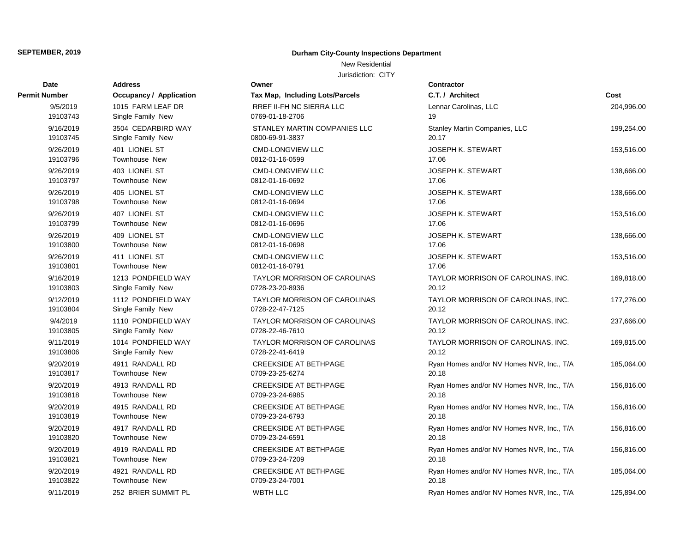### New Residential

| Date                 | Address                        | Owner                               | Contractor                                |            |
|----------------------|--------------------------------|-------------------------------------|-------------------------------------------|------------|
| <b>Permit Number</b> | <b>Occupancy / Application</b> | Tax Map, Including Lots/Parcels     | C.T. / Architect                          | Cost       |
| 9/5/2019             | 1015 FARM LEAF DR              | <b>RREF II-FH NC SIERRA LLC</b>     | Lennar Carolinas, LLC                     | 204,996.00 |
| 19103743             | Single Family New              | 0769-01-18-2706                     | 19                                        |            |
| 9/16/2019            | 3504 CEDARBIRD WAY             | STANLEY MARTIN COMPANIES LLC        | Stanley Martin Companies, LLC             | 199,254.00 |
| 19103745             | Single Family New              | 0800-69-91-3837                     | 20.17                                     |            |
| 9/26/2019            | 401 LIONEL ST                  | <b>CMD-LONGVIEW LLC</b>             | <b>JOSEPH K. STEWART</b>                  | 153,516.00 |
| 19103796             | Townhouse New                  | 0812-01-16-0599                     | 17.06                                     |            |
| 9/26/2019            | 403 LIONEL ST                  | <b>CMD-LONGVIEW LLC</b>             | <b>JOSEPH K. STEWART</b>                  | 138,666.00 |
| 19103797             | Townhouse New                  | 0812-01-16-0692                     | 17.06                                     |            |
| 9/26/2019            | 405 LIONEL ST                  | <b>CMD-LONGVIEW LLC</b>             | <b>JOSEPH K. STEWART</b>                  | 138,666.00 |
| 19103798             | Townhouse New                  | 0812-01-16-0694                     | 17.06                                     |            |
| 9/26/2019            | 407 LIONEL ST                  | <b>CMD-LONGVIEW LLC</b>             | JOSEPH K. STEWART                         | 153,516.00 |
| 19103799             | Townhouse New                  | 0812-01-16-0696                     | 17.06                                     |            |
| 9/26/2019            | 409 LIONEL ST                  | <b>CMD-LONGVIEW LLC</b>             | JOSEPH K. STEWART                         | 138,666.00 |
| 19103800             | Townhouse New                  | 0812-01-16-0698                     | 17.06                                     |            |
| 9/26/2019            | 411 LIONEL ST                  | <b>CMD-LONGVIEW LLC</b>             | <b>JOSEPH K. STEWART</b>                  | 153,516.00 |
| 19103801             | Townhouse New                  | 0812-01-16-0791                     | 17.06                                     |            |
| 9/16/2019            | 1213 PONDFIELD WAY             | <b>TAYLOR MORRISON OF CAROLINAS</b> | TAYLOR MORRISON OF CAROLINAS, INC.        | 169,818.00 |
| 19103803             | Single Family New              | 0728-23-20-8936                     | 20.12                                     |            |
| 9/12/2019            | 1112 PONDFIELD WAY             | TAYLOR MORRISON OF CAROLINAS        | TAYLOR MORRISON OF CAROLINAS, INC.        | 177,276.00 |
| 19103804             | Single Family New              | 0728-22-47-7125                     | 20.12                                     |            |
| 9/4/2019             | 1110 PONDFIELD WAY             | TAYLOR MORRISON OF CAROLINAS        | TAYLOR MORRISON OF CAROLINAS, INC.        | 237,666.00 |
| 19103805             | Single Family New              | 0728-22-46-7610                     | 20.12                                     |            |
| 9/11/2019            | 1014 PONDFIELD WAY             | TAYLOR MORRISON OF CAROLINAS        | TAYLOR MORRISON OF CAROLINAS, INC.        | 169,815.00 |
| 19103806             | Single Family New              | 0728-22-41-6419                     | 20.12                                     |            |
| 9/20/2019            | 4911 RANDALL RD                | <b>CREEKSIDE AT BETHPAGE</b>        | Ryan Homes and/or NV Homes NVR, Inc., T/A | 185,064.00 |
| 19103817             | <b>Townhouse New</b>           | 0709-23-25-6274                     | 20.18                                     |            |
| 9/20/2019            | 4913 RANDALL RD                | <b>CREEKSIDE AT BETHPAGE</b>        | Ryan Homes and/or NV Homes NVR, Inc., T/A | 156,816.00 |
| 19103818             | Townhouse New                  | 0709-23-24-6985                     | 20.18                                     |            |
| 9/20/2019            | 4915 RANDALL RD                | <b>CREEKSIDE AT BETHPAGE</b>        | Ryan Homes and/or NV Homes NVR, Inc., T/A | 156,816.00 |
| 19103819             | Townhouse New                  | 0709-23-24-6793                     | 20.18                                     |            |
| 9/20/2019            | 4917 RANDALL RD                | <b>CREEKSIDE AT BETHPAGE</b>        | Ryan Homes and/or NV Homes NVR, Inc., T/A | 156,816.00 |
| 19103820             | <b>Townhouse New</b>           | 0709-23-24-6591                     | 20.18                                     |            |
| 9/20/2019            | 4919 RANDALL RD                | <b>CREEKSIDE AT BETHPAGE</b>        | Ryan Homes and/or NV Homes NVR, Inc., T/A | 156,816.00 |
| 19103821             | Townhouse New                  | 0709-23-24-7209                     | 20.18                                     |            |
| 9/20/2019            | 4921 RANDALL RD                | <b>CREEKSIDE AT BETHPAGE</b>        | Ryan Homes and/or NV Homes NVR, Inc., T/A | 185,064.00 |
| 19103822             | Townhouse New                  | 0709-23-24-7001                     | 20.18                                     |            |
| 9/11/2019            | 252 BRIER SUMMIT PL            | <b>WBTH LLC</b>                     | Ryan Homes and/or NV Homes NVR, Inc., T/A | 125,894.00 |
|                      |                                |                                     |                                           |            |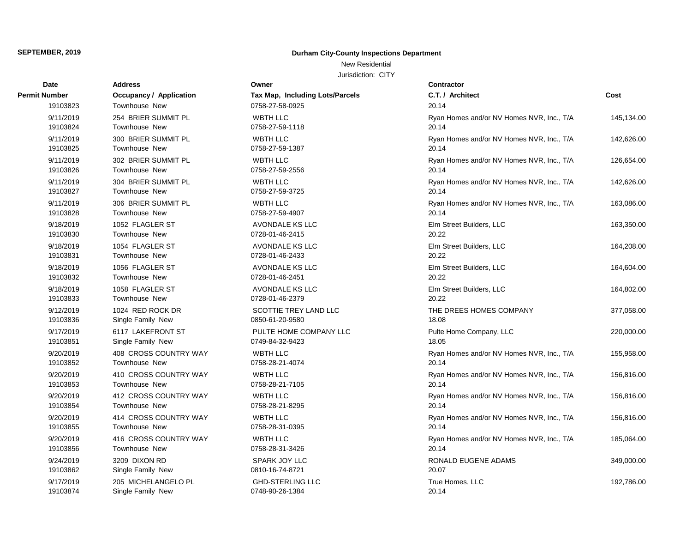New Residential

| Date                 | Address                        | Owner                           | <b>Contractor</b>                         |            |
|----------------------|--------------------------------|---------------------------------|-------------------------------------------|------------|
| <b>Permit Number</b> | <b>Occupancy / Application</b> | Tax Map, Including Lots/Parcels | C.T. / Architect                          | Cost       |
| 19103823             | Townhouse New                  | 0758-27-58-0925                 | 20.14                                     |            |
| 9/11/2019            | 254 BRIER SUMMIT PL            | <b>WBTH LLC</b>                 | Ryan Homes and/or NV Homes NVR, Inc., T/A | 145,134.00 |
| 19103824             | Townhouse New                  | 0758-27-59-1118                 | 20.14                                     |            |
| 9/11/2019            | 300 BRIER SUMMIT PL            | <b>WBTH LLC</b>                 | Ryan Homes and/or NV Homes NVR, Inc., T/A | 142,626.00 |
| 19103825             | Townhouse New                  | 0758-27-59-1387                 | 20.14                                     |            |
| 9/11/2019            | 302 BRIER SUMMIT PL            | <b>WBTH LLC</b>                 | Ryan Homes and/or NV Homes NVR, Inc., T/A | 126,654.00 |
| 19103826             | Townhouse New                  | 0758-27-59-2556                 | 20.14                                     |            |
| 9/11/2019            | 304 BRIER SUMMIT PL            | <b>WBTH LLC</b>                 | Ryan Homes and/or NV Homes NVR, Inc., T/A | 142,626.00 |
| 19103827             | Townhouse New                  | 0758-27-59-3725                 | 20.14                                     |            |
| 9/11/2019            | 306 BRIER SUMMIT PL            | <b>WBTH LLC</b>                 | Ryan Homes and/or NV Homes NVR, Inc., T/A | 163,086.00 |
| 19103828             | Townhouse New                  | 0758-27-59-4907                 | 20.14                                     |            |
| 9/18/2019            | 1052 FLAGLER ST                | AVONDALE KS LLC                 | Elm Street Builders, LLC                  | 163,350.00 |
| 19103830             | <b>Townhouse New</b>           | 0728-01-46-2415                 | 20.22                                     |            |
| 9/18/2019            | 1054 FLAGLER ST                | <b>AVONDALE KS LLC</b>          | Elm Street Builders, LLC                  | 164,208.00 |
| 19103831             | Townhouse New                  | 0728-01-46-2433                 | 20.22                                     |            |
| 9/18/2019            | 1056 FLAGLER ST                | AVONDALE KS LLC                 | Elm Street Builders, LLC                  | 164,604.00 |
| 19103832             | <b>Townhouse New</b>           | 0728-01-46-2451                 | 20.22                                     |            |
| 9/18/2019            | 1058 FLAGLER ST                | AVONDALE KS LLC                 | Elm Street Builders, LLC                  | 164,802.00 |
| 19103833             | <b>Townhouse New</b>           | 0728-01-46-2379                 | 20.22                                     |            |
| 9/12/2019            | 1024 RED ROCK DR               | SCOTTIE TREY LAND LLC           | THE DREES HOMES COMPANY                   | 377,058.00 |
| 19103836             | Single Family New              | 0850-61-20-9580                 | 18.08                                     |            |
| 9/17/2019            | 6117 LAKEFRONT ST              | PULTE HOME COMPANY LLC          | Pulte Home Company, LLC                   | 220,000.00 |
| 19103851             | Single Family New              | 0749-84-32-9423                 | 18.05                                     |            |
| 9/20/2019            | 408 CROSS COUNTRY WAY          | <b>WBTH LLC</b>                 | Ryan Homes and/or NV Homes NVR, Inc., T/A | 155,958.00 |
| 19103852             | Townhouse New                  | 0758-28-21-4074                 | 20.14                                     |            |
| 9/20/2019            | 410 CROSS COUNTRY WAY          | <b>WBTH LLC</b>                 | Ryan Homes and/or NV Homes NVR, Inc., T/A | 156,816.00 |
| 19103853             | Townhouse New                  | 0758-28-21-7105                 | 20.14                                     |            |
| 9/20/2019            | 412 CROSS COUNTRY WAY          | <b>WBTH LLC</b>                 | Ryan Homes and/or NV Homes NVR, Inc., T/A | 156,816.00 |
| 19103854             | Townhouse New                  | 0758-28-21-8295                 | 20.14                                     |            |
| 9/20/2019            | 414 CROSS COUNTRY WAY          | <b>WBTH LLC</b>                 | Ryan Homes and/or NV Homes NVR, Inc., T/A | 156,816.00 |
| 19103855             | Townhouse New                  | 0758-28-31-0395                 | 20.14                                     |            |
| 9/20/2019            | 416 CROSS COUNTRY WAY          | <b>WBTH LLC</b>                 | Ryan Homes and/or NV Homes NVR, Inc., T/A | 185,064.00 |
| 19103856             | Townhouse New                  | 0758-28-31-3426                 | 20.14                                     |            |
| 9/24/2019            | 3209 DIXON RD                  | SPARK JOY LLC                   | RONALD EUGENE ADAMS                       | 349,000.00 |
| 19103862             | Single Family New              | 0810-16-74-8721                 | 20.07                                     |            |
| 9/17/2019            | 205 MICHELANGELO PL            | <b>GHD-STERLING LLC</b>         | True Homes, LLC                           | 192,786.00 |
| 19103874             | Single Family New              | 0748-90-26-1384                 | 20.14                                     |            |

| C.T. / Architect<br>20.14                          | Cost       |
|----------------------------------------------------|------------|
| Ryan Homes and/or NV Homes NVR, Inc., T/A<br>20.14 | 145,134.00 |
| Ryan Homes and/or NV Homes NVR, Inc., T/A<br>20.14 | 142,626.00 |
| Ryan Homes and/or NV Homes NVR, Inc., T/A<br>20.14 | 126,654.00 |
| Ryan Homes and/or NV Homes NVR, Inc., T/A<br>20.14 | 142,626.00 |
| Ryan Homes and/or NV Homes NVR, Inc., T/A<br>20.14 | 163,086.00 |
| Elm Street Builders, LLC<br>20.22                  | 163,350.00 |
| Elm Street Builders, LLC<br>20.22                  | 164,208.00 |
| Elm Street Builders, LLC<br>20.22                  | 164,604.00 |
| Elm Street Builders, LLC<br>20.22                  | 164,802.00 |
| THE DREES HOMES COMPANY<br>18.08                   | 377,058.00 |
| Pulte Home Company, LLC<br>18.05                   | 220,000.00 |
| Ryan Homes and/or NV Homes NVR, Inc., T/A<br>20.14 | 155,958.00 |
| Ryan Homes and/or NV Homes NVR, Inc., T/A<br>20.14 | 156,816.00 |
| Ryan Homes and/or NV Homes NVR, Inc., T/A<br>20.14 | 156,816.00 |
| Ryan Homes and/or NV Homes NVR, Inc., T/A<br>20.14 | 156,816.00 |
| Ryan Homes and/or NV Homes NVR, Inc., T/A<br>20.14 | 185,064.00 |
| RONALD EUGENE ADAMS<br>20.07                       | 349,000.00 |
| True Homes, LLC                                    | 192.786.00 |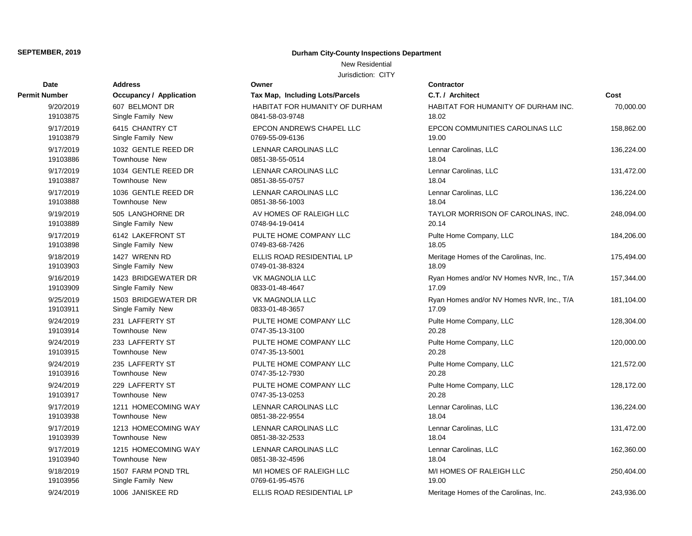New Residential

Jurisdiction: CITY

| Date                  | <b>Address</b>                     | Owner                                        |
|-----------------------|------------------------------------|----------------------------------------------|
| <b>Permit Number</b>  | <b>Occupancy / Application</b>     | Tax Map, Including Lots/Parcels              |
| 9/20/2019             | 607 BELMONT DR                     | HABITAT FOR HUMANITY OF DU                   |
| 19103875              | Single Family New                  | 0841-58-03-9748                              |
| 9/17/2019             | 6415 CHANTRY CT                    | <b>EPCON ANDREWS CHAPEL LLC</b>              |
| 19103879              | Single Family New                  | 0769-55-09-6136                              |
| 9/17/2019             | 1032 GENTLE REED DR                | <b>LENNAR CAROLINAS LLC</b>                  |
| 19103886              | <b>Townhouse New</b>               | 0851-38-55-0514                              |
| 9/17/2019             | 1034 GENTLE REED DR                | <b>LENNAR CAROLINAS LLC</b>                  |
| 19103887              | Townhouse New                      | 0851-38-55-0757                              |
| 9/17/2019             | 1036 GENTLE REED DR                | LENNAR CAROLINAS LLC                         |
| 19103888              | <b>Townhouse New</b>               | 0851-38-56-1003                              |
| 9/19/2019             | 505 LANGHORNE DR                   | AV HOMES OF RALEIGH LLC                      |
| 19103889              | Single Family New                  | 0748-94-19-0414                              |
| 9/17/2019             | 6142 LAKEFRONT ST                  | PULTE HOME COMPANY LLC<br>0749-83-68-7426    |
| 19103898              | Single Family New                  |                                              |
| 9/18/2019<br>19103903 | 1427 WRENN RD<br>Single Family New | ELLIS ROAD RESIDENTIAL LP<br>0749-01-38-8324 |
|                       | 1423 BRIDGEWATER DR                |                                              |
| 9/16/2019<br>19103909 | Single Family New                  | VK MAGNOLIA LLC<br>0833-01-48-4647           |
| 9/25/2019             | 1503 BRIDGEWATER DR                | VK MAGNOLIA LLC                              |
| 19103911              | Single Family New                  | 0833-01-48-3657                              |
| 9/24/2019             | 231 LAFFERTY ST                    | PULTE HOME COMPANY LLC                       |
| 19103914              | <b>Townhouse New</b>               | 0747-35-13-3100                              |
| 9/24/2019             | 233 LAFFERTY ST                    | PULTE HOME COMPANY LLC                       |
| 19103915              | Townhouse New                      | 0747-35-13-5001                              |
| 9/24/2019             | 235 LAFFERTY ST                    | PULTE HOME COMPANY LLC                       |
| 19103916              | <b>Townhouse New</b>               | 0747-35-12-7930                              |
| 9/24/2019             | 229 LAFFERTY ST                    | PULTE HOME COMPANY LLC                       |
| 19103917              | <b>Townhouse New</b>               | 0747-35-13-0253                              |
| 9/17/2019             | 1211 HOMECOMING WAY                | <b>LENNAR CAROLINAS LLC</b>                  |
| 19103938              | <b>Townhouse New</b>               | 0851-38-22-9554                              |
| 9/17/2019             | 1213 HOMECOMING WAY                | <b>LENNAR CAROLINAS LLC</b>                  |
| 19103939              | Townhouse New                      | 0851-38-32-2533                              |
| 9/17/2019             | 1215 HOMECOMING WAY                | <b>LENNAR CAROLINAS LLC</b>                  |
| 19103940              | <b>Townhouse New</b>               | 0851-38-32-4596                              |
| 9/18/2019             | 1507 FARM POND TRL                 | M/I HOMES OF RALEIGH LLC                     |
| 19103956              | Single Family New                  | 0769-61-95-4576                              |
| 9/24/2019             | 1006 JANISKEE RD                   | ELLIS ROAD RESIDENTIAL LP                    |

# **Date Contractor** 0769-61-95-4576 M/I HOMES OF RALEIGH LLC 0851-38-32-4596 LENNAR CAROLINAS LLC 0851-38-32-2533 LENNAR CAROLINAS LLC 0851-38-22-9554 LENNAR CAROLINAS LLC 0747-35-13-0253 PULTE HOME COMPANY LLC 0747-35-12-7930 PULTE HOME COMPANY LLC 0747-35-13-5001 PULTE HOME COMPANY LLC 0747-35-13-3100 PULTE HOME COMPANY LLC 0833-01-48-3657 0833-01-48-4647 0749-01-38-8324 **ELLIS ROAD RESIDENTIAL LP** 0749-83-68-7426 PULTE HOME COMPANY LLC 0748-94-19-0414 AV HOMES OF RALEIGH LLC 0851-38-56-1003 LENNAR CAROLINAS LLC 0851-38-55-0757 LENNAR CAROLINAS LLC 0851-38-55-0514 LENNAR CAROLINAS LLC 0769-55-09-6136 EPCON ANDREWS CHAPEL LLC 0841-58-03-9748 HABITAT FOR HUMANITY OF DURHAM

| ımber     | <b>Occupancy / Application</b> | Tax Map, Including Lots/Parcels | C.T. / Architect                          | Cost       |
|-----------|--------------------------------|---------------------------------|-------------------------------------------|------------|
| 9/20/2019 | 607 BELMONT DR                 | HABITAT FOR HUMANITY OF DURHAM  | HABITAT FOR HUMANITY OF DURHAM INC.       | 70,000.00  |
| 19103875  | Single Family New              | 0841-58-03-9748                 | 18.02                                     |            |
| 9/17/2019 | 6415 CHANTRY CT                | <b>EPCON ANDREWS CHAPEL LLC</b> | EPCON COMMUNITIES CAROLINAS LLC           | 158,862.00 |
| 19103879  | Single Family New              | 0769-55-09-6136                 | 19.00                                     |            |
| 9/17/2019 | 1032 GENTLE REED DR            | LENNAR CAROLINAS LLC            | Lennar Carolinas, LLC                     | 136,224.00 |
| 19103886  | Townhouse New                  | 0851-38-55-0514                 | 18.04                                     |            |
| 9/17/2019 | 1034 GENTLE REED DR            | <b>LENNAR CAROLINAS LLC</b>     | Lennar Carolinas, LLC                     | 131,472.00 |
| 19103887  | <b>Townhouse New</b>           | 0851-38-55-0757                 | 18.04                                     |            |
| 9/17/2019 | 1036 GENTLE REED DR            | <b>LENNAR CAROLINAS LLC</b>     | Lennar Carolinas, LLC                     | 136,224.00 |
| 19103888  | Townhouse New                  | 0851-38-56-1003                 | 18.04                                     |            |
| 9/19/2019 | 505 LANGHORNE DR               | AV HOMES OF RALEIGH LLC         | TAYLOR MORRISON OF CAROLINAS, INC.        | 248,094.00 |
| 19103889  | Single Family New              | 0748-94-19-0414                 | 20.14                                     |            |
| 9/17/2019 | 6142 LAKEFRONT ST              | PULTE HOME COMPANY LLC          | Pulte Home Company, LLC                   | 184,206.00 |
| 19103898  | Single Family New              | 0749-83-68-7426                 | 18.05                                     |            |
| 9/18/2019 | 1427 WRENN RD                  | ELLIS ROAD RESIDENTIAL LP       | Meritage Homes of the Carolinas, Inc.     | 175,494.00 |
| 19103903  | Single Family New              | 0749-01-38-8324                 | 18.09                                     |            |
| 9/16/2019 | 1423 BRIDGEWATER DR            | <b>VK MAGNOLIA LLC</b>          | Ryan Homes and/or NV Homes NVR, Inc., T/A | 157,344.00 |
| 19103909  | Single Family New              | 0833-01-48-4647                 | 17.09                                     |            |
| 9/25/2019 | 1503 BRIDGEWATER DR            | VK MAGNOLIA LLC                 | Ryan Homes and/or NV Homes NVR, Inc., T/A | 181,104.00 |
| 19103911  | Single Family New              | 0833-01-48-3657                 | 17.09                                     |            |
| 9/24/2019 | 231 LAFFERTY ST                | PULTE HOME COMPANY LLC          | Pulte Home Company, LLC                   | 128,304.00 |
| 19103914  | <b>Townhouse New</b>           | 0747-35-13-3100                 | 20.28                                     |            |
| 9/24/2019 | 233 LAFFERTY ST                | PULTE HOME COMPANY LLC          | Pulte Home Company, LLC                   | 120,000.00 |
| 19103915  | <b>Townhouse New</b>           | 0747-35-13-5001                 | 20.28                                     |            |
| 9/24/2019 | 235 LAFFERTY ST                | PULTE HOME COMPANY LLC          | Pulte Home Company, LLC                   | 121,572.00 |
| 19103916  | <b>Townhouse New</b>           | 0747-35-12-7930                 | 20.28                                     |            |
| 9/24/2019 | 229 LAFFERTY ST                | PULTE HOME COMPANY LLC          | Pulte Home Company, LLC                   | 128,172.00 |
| 19103917  | <b>Townhouse New</b>           | 0747-35-13-0253                 | 20.28                                     |            |
| 9/17/2019 | 1211 HOMECOMING WAY            | LENNAR CAROLINAS LLC            | Lennar Carolinas, LLC                     | 136,224.00 |
| 19103938  | <b>Townhouse New</b>           | 0851-38-22-9554                 | 18.04                                     |            |
| 9/17/2019 | 1213 HOMECOMING WAY            | LENNAR CAROLINAS LLC            | Lennar Carolinas, LLC                     | 131,472.00 |
| 19103939  | <b>Townhouse New</b>           | 0851-38-32-2533                 | 18.04                                     |            |
| 9/17/2019 | 1215 HOMECOMING WAY            | LENNAR CAROLINAS LLC            | Lennar Carolinas, LLC                     | 162,360.00 |
| 19103940  | <b>Townhouse New</b>           | 0851-38-32-4596                 | 18.04                                     |            |
| 9/18/2019 | 1507 FARM POND TRL             | M/I HOMES OF RALEIGH LLC        | M/I HOMES OF RALEIGH LLC                  | 250,404.00 |
| 19103956  | Single Family New              | 0769-61-95-4576                 | 19.00                                     |            |
| 9/24/2019 | 1006 JANISKEE RD               | ELLIS ROAD RESIDENTIAL LP       | Meritage Homes of the Carolinas, Inc.     | 243,936.00 |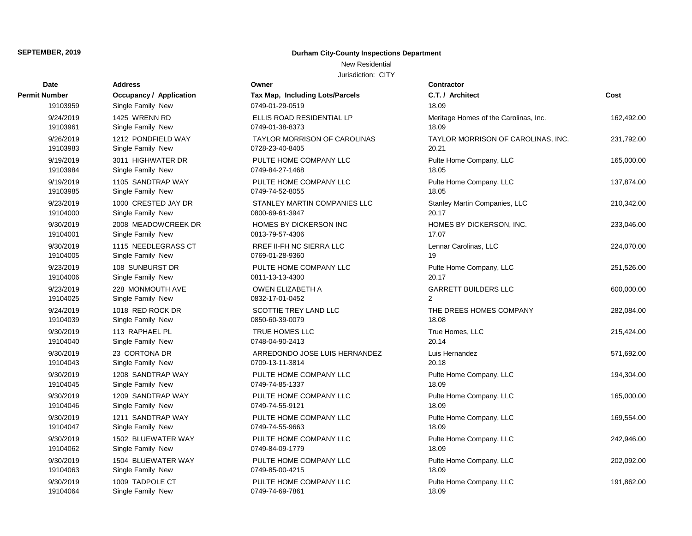### New Residential

| Date          | <b>Address</b>                 | Owner                               | Contractor       |
|---------------|--------------------------------|-------------------------------------|------------------|
| Permit Number | <b>Occupancy / Application</b> | Tax Map, Including Lots/Parcels     | C.T. / Arch      |
| 19103959      | Single Family New              | 0749-01-29-0519                     | 18.09            |
| 9/24/2019     | 1425 WRENN RD                  | ELLIS ROAD RESIDENTIAL LP           | Meritage H       |
| 19103961      | Single Family New              | 0749-01-38-8373                     | 18.09            |
| 9/26/2019     | 1212 PONDFIELD WAY             | <b>TAYLOR MORRISON OF CAROLINAS</b> | <b>TAYLOR M</b>  |
| 19103983      | Single Family New              | 0728-23-40-8405                     | 20.21            |
| 9/19/2019     | 3011 HIGHWATER DR              | PULTE HOME COMPANY LLC              | Pulte Home       |
| 19103984      | Single Family New              | 0749-84-27-1468                     | 18.05            |
| 9/19/2019     | 1105 SANDTRAP WAY              | PULTE HOME COMPANY LLC              | Pulte Home       |
| 19103985      | Single Family New              | 0749-74-52-8055                     | 18.05            |
| 9/23/2019     | 1000 CRESTED JAY DR            | STANLEY MARTIN COMPANIES LLC        | Stanley Ma       |
| 19104000      | Single Family New              | 0800-69-61-3947                     | 20.17            |
| 9/30/2019     | 2008 MEADOWCREEK DR            | <b>HOMES BY DICKERSON INC</b>       | <b>HOMES BY</b>  |
| 19104001      | Single Family New              | 0813-79-57-4306                     | 17.07            |
| 9/30/2019     | 1115 NEEDLEGRASS CT            | RREF II-FH NC SIERRA LLC            | Lennar Car       |
| 19104005      | Single Family New              | 0769-01-28-9360                     | 19               |
| 9/23/2019     | 108 SUNBURST DR                | PULTE HOME COMPANY LLC              | Pulte Home       |
| 19104006      | Single Family New              | 0811-13-13-4300                     | 20.17            |
| 9/23/2019     | 228 MONMOUTH AVE               | OWEN ELIZABETH A                    | GARRETT          |
| 19104025      | Single Family New              | 0832-17-01-0452                     | $\overline{2}$   |
| 9/24/2019     | 1018 RED ROCK DR               | SCOTTIE TREY LAND LLC               | THE DREE         |
| 19104039      | Single Family New              | 0850-60-39-0079                     | 18.08            |
| 9/30/2019     | 113 RAPHAEL PL                 | TRUE HOMES LLC                      | <b>True Home</b> |
| 19104040      | Single Family New              | 0748-04-90-2413                     | 20.14            |
| 9/30/2019     | 23 CORTONA DR                  | ARREDONDO JOSE LUIS HERNANDEZ       | Luis Hernar      |
| 19104043      | Single Family New              | 0709-13-11-3814                     | 20.18            |
| 9/30/2019     | 1208 SANDTRAP WAY              | PULTE HOME COMPANY LLC              | Pulte Home       |
| 19104045      | Single Family New              | 0749-74-85-1337                     | 18.09            |
| 9/30/2019     | 1209 SANDTRAP WAY              | PULTE HOME COMPANY LLC              | Pulte Home       |
| 19104046      | Single Family New              | 0749-74-55-9121                     | 18.09            |
| 9/30/2019     | 1211 SANDTRAP WAY              | PULTE HOME COMPANY LLC              | Pulte Home       |
| 19104047      | Single Family New              | 0749-74-55-9663                     | 18.09            |
| 9/30/2019     | 1502 BLUEWATER WAY             | PULTE HOME COMPANY LLC              | Pulte Home       |
| 19104062      | Single Family New              | 0749-84-09-1779                     | 18.09            |
| 9/30/2019     | 1504 BLUEWATER WAY             | PULTE HOME COMPANY LLC              | Pulte Home       |
| 19104063      | Single Family New              | 0749-85-00-4215                     | 18.09            |
| 9/30/2019     | 1009 TADPOLE CT                | PULTE HOME COMPANY LLC              | Pulte Home       |
| 19104064      | Single Family New              | 0749-74-69-7861                     | 18.09            |

| Owner                                                  |
|--------------------------------------------------------|
| Tax Map, Including Lots/Parcels                        |
| 0749-01-29-0519                                        |
| ELLIS ROAD RESIDENTIAL LP<br>0749-01-38-8373           |
| <b>TAYLOR MORRISON OF CAROLINAS</b><br>0728-23-40-8405 |
| PULTE HOME COMPANY LLC<br>0749-84-27-1468              |
| PULTE HOME COMPANY LLC<br>0749-74-52-8055              |
| STANLEY MARTIN COMPANIES LLC<br>0800-69-61-3947        |
| <b>HOMES BY DICKERSON INC</b><br>0813-79-57-4306       |
| RREF II-FH NC SIERRA LLC<br>0769-01-28-9360            |
| PULTE HOME COMPANY LLC<br>0811-13-13-4300              |
| <b>OWEN ELIZABETH A</b><br>0832-17-01-0452             |
| SCOTTIE TREY LAND LLC<br>0850-60-39-0079               |
| <b>TRUE HOMES LLC</b><br>0748-04-90-2413               |
| ARREDONDO JOSE LUIS HERNANDEZ<br>0709-13-11-3814       |
| PULTE HOME COMPANY LLC<br>0749-74-85-1337              |
| PULTE HOME COMPANY LLC<br>0749-74-55-9121              |
| PULTE HOME COMPANY LLC<br>0749-74-55-9663              |
| PULTE HOME COMPANY LLC<br>0749-84-09-1779              |
| PULTE HOME COMPANY LLC<br>0749-85-00-4215              |
| PULTE HOME COMPANY LLC<br>0740 74 60 7064              |

| ımber                | <b>Occupancy / Application</b>                               | Tax Map, Including Lots/Parcels       | C.T. / Architect                      | Cost       |
|----------------------|--------------------------------------------------------------|---------------------------------------|---------------------------------------|------------|
| 19103959             | Single Family New                                            | 0749-01-29-0519                       | 18.09                                 |            |
| 9/24/2019            | 1425 WRENN RD                                                | ELLIS ROAD RESIDENTIAL LP             | Meritage Homes of the Carolinas, Inc. | 162,492.00 |
| 19103961             | Single Family New                                            | 0749-01-38-8373                       | 18.09                                 |            |
| 9/26/2019            | 1212 PONDFIELD WAY                                           | <b>TAYLOR MORRISON OF CAROLINAS</b>   | TAYLOR MORRISON OF CAROLINAS, INC.    | 231,792.00 |
| 19103983             | Single Family New                                            | 0728-23-40-8405                       | 20.21                                 |            |
| 9/19/2019            | 3011 HIGHWATER DR                                            | PULTE HOME COMPANY LLC                | Pulte Home Company, LLC               | 165,000.00 |
| 19103984             | Single Family New                                            | 0749-84-27-1468                       | 18.05                                 |            |
| 9/19/2019            | 1105 SANDTRAP WAY                                            | PULTE HOME COMPANY LLC                | Pulte Home Company, LLC               | 137,874.00 |
| 19103985             | Single Family New                                            | 0749-74-52-8055                       | 18.05                                 |            |
| 9/23/2019            | 1000 CRESTED JAY DR                                          | STANLEY MARTIN COMPANIES LLC          | Stanley Martin Companies, LLC         | 210,342.00 |
| 19104000             | Single Family New                                            | 0800-69-61-3947                       | 20.17                                 |            |
| 9/30/2019            | 2008 MEADOWCREEK DR                                          | HOMES BY DICKERSON INC                | HOMES BY DICKERSON, INC.              | 233,046.00 |
| 19104001             | Single Family New                                            | 0813-79-57-4306                       | 17.07                                 |            |
| 9/30/2019            | 1115 NEEDLEGRASS CT                                          | RREF II-FH NC SIERRA LLC              | Lennar Carolinas, LLC                 | 224,070.00 |
| 19104005             | Single Family New                                            | 0769-01-28-9360                       | 19                                    |            |
| 9/23/2019            | 108 SUNBURST DR                                              | PULTE HOME COMPANY LLC                | Pulte Home Company, LLC               | 251,526.00 |
| 19104006             | Single Family New                                            | 0811-13-13-4300                       | 20.17                                 |            |
| 9/23/2019            | 228 MONMOUTH AVE                                             | OWEN ELIZABETH A                      | <b>GARRETT BUILDERS LLC</b>           | 600,000.00 |
| 19104025             | Single Family New                                            | 0832-17-01-0452                       | 2                                     |            |
| 9/24/2019            | 1018 RED ROCK DR                                             | SCOTTIE TREY LAND LLC                 | THE DREES HOMES COMPANY               | 282,084.00 |
| 19104039             | Single Family New                                            | 0850-60-39-0079                       | 18.08                                 |            |
| 9/30/2019            | 113 RAPHAEL PL                                               | TRUE HOMES LLC                        | True Homes, LLC                       | 215,424.00 |
| 19104040             | Single Family New                                            | 0748-04-90-2413                       | 20.14                                 |            |
| 9/30/2019            | 23 CORTONA DR                                                | ARREDONDO JOSE LUIS HERNANDEZ         | Luis Hernandez                        | 571,692.00 |
| 19104043             | Single Family New                                            | 0709-13-11-3814                       | 20.18                                 |            |
| 9/30/2019            | 1208 SANDTRAP WAY                                            | PULTE HOME COMPANY LLC                | Pulte Home Company, LLC               | 194,304.00 |
| 19104045             | Single Family New                                            | 0749-74-85-1337                       | 18.09                                 |            |
| 9/30/2019            | 1209 SANDTRAP WAY                                            | PULTE HOME COMPANY LLC                | Pulte Home Company, LLC               | 165,000.00 |
| 19104046             | Single Family New                                            | 0749-74-55-9121                       | 18.09                                 |            |
| 9/30/2019            | 1211 SANDTRAP WAY                                            | PULTE HOME COMPANY LLC                | Pulte Home Company, LLC               | 169,554.00 |
| 19104047             | Single Family New                                            | 0749-74-55-9663                       | 18.09                                 |            |
| 9/30/2019            | 1502 BLUEWATER WAY                                           | PULTE HOME COMPANY LLC                | Pulte Home Company, LLC               | 242,946.00 |
| 19104062             | Single Family New                                            | 0749-84-09-1779                       | 18.09                                 |            |
| 9/30/2019            | 1504 BLUEWATER WAY                                           | PULTE HOME COMPANY LLC                | Pulte Home Company, LLC               | 202,092.00 |
| 19104063             | Single Family New                                            | 0749-85-00-4215                       | 18.09                                 |            |
| 9/30/2019<br>1010100 | 1009 TADPOLE CT<br>$\sim$ $\sim$ $\sim$ $\sim$ $\sim$ $\sim$ | PULTE HOME COMPANY LLC<br>27127102722 | Pulte Home Company, LLC               | 191,862.00 |